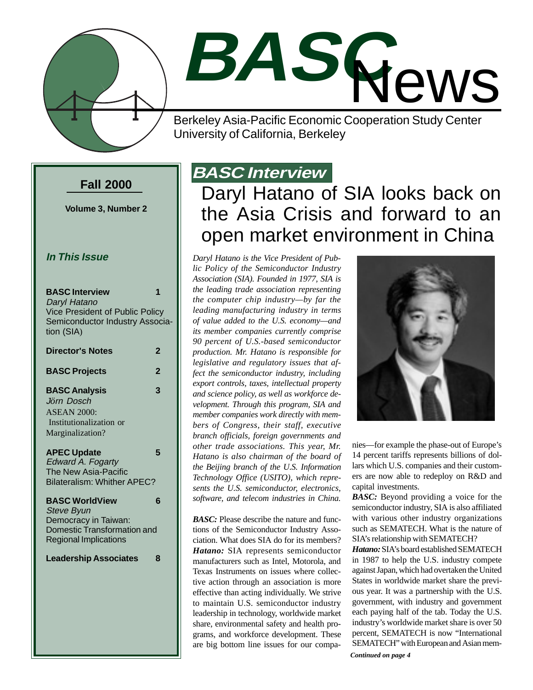

# **BASC** News

Berkeley Asia-Pacific Economic Cooperation Study Center University of California, Berkeley

#### **Fall 2000**

**Volume 3, Number 2**

#### **In This Issue**

| <b>BASC Interview</b><br>Daryl Hatano<br>Vice President of Public Policy<br>Semiconductor Industry Associa-<br>tion (SIA)         | 1 |
|-----------------------------------------------------------------------------------------------------------------------------------|---|
| <b>Director's Notes</b>                                                                                                           | 2 |
| <b>BASC Projects</b>                                                                                                              | 2 |
| <b>BASC Analysis</b><br>Jörn Dosch<br><b>ASEAN 2000:</b><br>Institutionalization or<br>Marginalization?                           | 3 |
| <b>APEC Update</b><br><b>Edward A. Fogarty</b><br>The New Asia-Pacific<br><b>Bilateralism: Whither APEC?</b>                      | 5 |
| <b>BASC WorldView</b><br><b>Steve Byun</b><br>Democracy in Taiwan:<br>Domestic Transformation and<br><b>Regional Implications</b> | 6 |
| <b>Leadership Associates</b>                                                                                                      | 8 |

## **BASC Interview**

## Daryl Hatano of SIA looks back on the Asia Crisis and forward to an open market environment in China

*Daryl Hatano is the Vice President of Public Policy of the Semiconductor Industry Association (SIA). Founded in 1977, SIA is the leading trade association representing the computer chip industry—by far the leading manufacturing industry in terms of value added to the U.S. economy—and its member companies currently comprise 90 percent of U.S.-based semiconductor production. Mr. Hatano is responsible for legislative and regulatory issues that affect the semiconductor industry, including export controls, taxes, intellectual property and science policy, as well as workforce development. Through this program, SIA and member companies work directly with members of Congress, their staff, executive branch officials, foreign governments and other trade associations. This year, Mr. Hatano is also chairman of the board of the Beijing branch of the U.S. Information Technology Office (USITO), which represents the U.S. semiconductor, electronics, software, and telecom industries in China.*

*BASC:* Please describe the nature and functions of the Semiconductor Industry Association. What does SIA do for its members? *Hatano:* SIA represents semiconductor manufacturers such as Intel, Motorola, and Texas Instruments on issues where collective action through an association is more effective than acting individually. We strive to maintain U.S. semiconductor industry leadership in technology, worldwide market share, environmental safety and health programs, and workforce development. These are big bottom line issues for our compa-



nies—for example the phase-out of Europe's 14 percent tariffs represents billions of dollars which U.S. companies and their customers are now able to redeploy on R&D and capital investments.

*BASC:* Beyond providing a voice for the semiconductor industry, SIA is also affiliated with various other industry organizations such as SEMATECH. What is the nature of SIA's relationship with SEMATECH?

*Hatano:* SIA's board established SEMATECH in 1987 to help the U.S. industry compete against Japan, which had overtaken the United States in worldwide market share the previous year. It was a partnership with the U.S. government, with industry and government each paying half of the tab. Today the U.S. industry's worldwide market share is over 50 percent, SEMATECH is now "International SEMATECH" with European and Asian mem-

*Continued on page 4*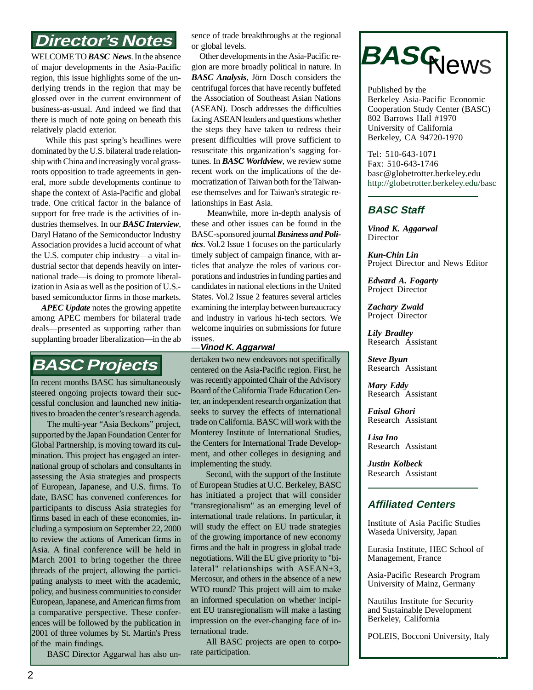### **Director's Notes**

WELCOME TO *BASC News*. In the absence of major developments in the Asia-Pacific region, this issue highlights some of the underlying trends in the region that may be glossed over in the current environment of business-as-usual. And indeed we find that there is much of note going on beneath this relatively placid exterior.

 While this past spring's headlines were dominated by the U.S. bilateral trade relationship with China and increasingly vocal grassroots opposition to trade agreements in general, more subtle developments continue to shape the context of Asia-Pacific and global trade. One critical factor in the balance of support for free trade is the activities of industries themselves. In our *BASC Interview*, Daryl Hatano of the Semiconductor Industry Association provides a lucid account of what the U.S. computer chip industry—a vital industrial sector that depends heavily on international trade—is doing to promote liberalization in Asia as well as the position of U.S. based semiconductor firms in those markets.

 *APEC Update* notes the growing appetite among APEC members for bilateral trade deals—presented as supporting rather than supplanting broader liberalization—in the ab

## **BASC Projects**

In recent months BASC has simultaneously steered ongoing projects toward their successful conclusion and launched new initiatives to broaden the center's research agenda.

The multi-year "Asia Beckons" project, supported by the Japan Foundation Center for Global Partnership, is moving toward its culmination. This project has engaged an international group of scholars and consultants in assessing the Asia strategies and prospects of European, Japanese, and U.S. firms. To date, BASC has convened conferences for participants to discuss Asia strategies for firms based in each of these economies, including a symposium on September 22, 2000 to review the actions of American firms in Asia. A final conference will be held in March 2001 to bring together the three threads of the project, allowing the participating analysts to meet with the academic, policy, and business communities to consider European, Japanese, and American firms from a comparative perspective. These conferences will be followed by the publication in 2001 of three volumes by St. Martin's Press of the main findings.

BASC Director Aggarwal has also un-

sence of trade breakthroughs at the regional or global levels.

 Other developments in the Asia-Pacific region are more broadly political in nature. In *BASC Analysis*, Jörn Dosch considers the centrifugal forces that have recently buffeted the Association of Southeast Asian Nations (ASEAN). Dosch addresses the difficulties facing ASEAN leaders and questions whether the steps they have taken to redress their present difficulties will prove sufficient to resuscitate this organization's sagging fortunes. In *BASC Worldview*, we review some recent work on the implications of the democratization of Taiwan both for the Taiwanese themselves and for Taiwan's strategic relationships in East Asia.

 Meanwhile, more in-depth analysis of these and other issues can be found in the BASC-sponsored journal *Business and Politics*. Vol.2 Issue 1 focuses on the particularly timely subject of campaign finance, with articles that analyze the roles of various corporations and industries in funding parties and candidates in national elections in the United States. Vol.2 Issue 2 features several articles examining the interplay between bureaucracy and industry in various hi-tech sectors. We welcome inquiries on submissions for future issues.

#### **—Vinod K. Aggarwal**

dertaken two new endeavors not specifically centered on the Asia-Pacific region. First, he was recently appointed Chair of the Advisory Board of the California Trade Education Center, an independent research organization that seeks to survey the effects of international trade on California. BASC will work with the Monterey Institute of International Studies, the Centers for International Trade Development, and other colleges in designing and implementing the study.

Second, with the support of the Institute of European Studies at U.C. Berkeley, BASC has initiated a project that will consider "transregionalism" as an emerging level of international trade relations. In particular, it will study the effect on EU trade strategies of the growing importance of new economy firms and the halt in progress in global trade negotiations. Will the EU give priority to "bilateral" relationships with ASEAN+3, Mercosur, and others in the absence of a new WTO round? This project will aim to make an informed speculation on whether incipient EU transregionalism will make a lasting impression on the ever-changing face of international trade.

All BASC projects are open to corporate participation.

# **BASG**News

Published by the Berkeley Asia-Pacific Economic Cooperation Study Center (BASC) 802 Barrows Hall #1970 University of California Berkeley, CA 94720-1970

Tel: 510-643-1071 Fax: 510-643-1746 basc@globetrotter.berkeley.edu http://globetrotter.berkeley.edu/basc

#### **BASC Staff**

*Vinod K. Aggarwal* **Director** 

*Kun-Chin Lin* Project Director and News Editor

*Edward A. Fogarty* Project Director

*Zachary Zwald* Project Director

*Lily Bradley* Research Assistant

*Steve Byun* Research Assistant

*Mary Eddy* Research Assistant

*Faisal Ghori* Research Assistant

*Lisa Ino* Research Assistant

*Justin Kolbeck* Research Assistant

#### **Affiliated Centers**

Institute of Asia Pacific Studies Waseda University, Japan

Eurasia Institute, HEC School of Management, France

Asia-Pacific Research Program University of Mainz, Germany

Nautilus Institute for Security and Sustainable Development Berkeley, California

POLEIS, Bocconi University, Italy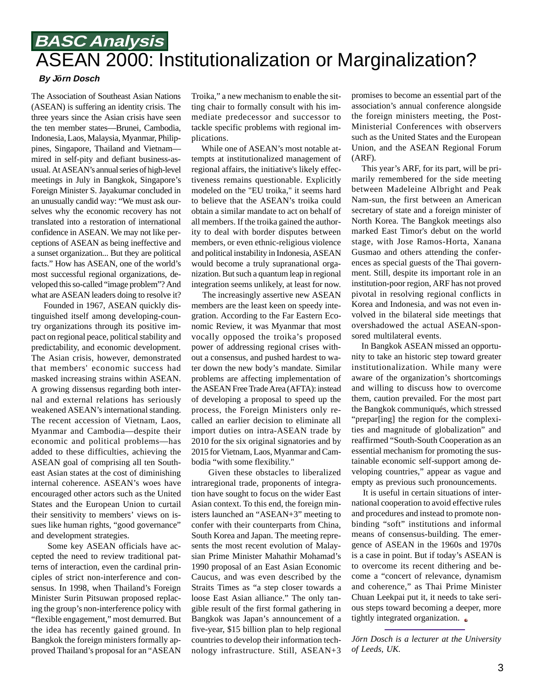## **BASC Analysis** ASEAN 2000: Institutionalization or Marginalization?

#### **By J***ö***rn Dosch**

The Association of Southeast Asian Nations (ASEAN) is suffering an identity crisis. The three years since the Asian crisis have seen the ten member states—Brunei, Cambodia, Indonesia, Laos, Malaysia, Myanmar, Philippines, Singapore, Thailand and Vietnam mired in self-pity and defiant business-asusual. At ASEAN's annual series of high-level meetings in July in Bangkok, Singapore's Foreign Minister S. Jayakumar concluded in an unusually candid way: "We must ask ourselves why the economic recovery has not translated into a restoration of international confidence in ASEAN. We may not like perceptions of ASEAN as being ineffective and a sunset organization... But they are political facts." How has ASEAN, one of the world's most successful regional organizations, developed this so-called "image problem"? And what are ASEAN leaders doing to resolve it?

 Founded in 1967, ASEAN quickly distinguished itself among developing-country organizations through its positive impact on regional peace, political stability and predictability, and economic development. The Asian crisis, however, demonstrated that members' economic success had masked increasing strains within ASEAN. A growing dissensus regarding both internal and external relations has seriously weakened ASEAN's international standing. The recent accession of Vietnam, Laos, Myanmar and Cambodia—despite their economic and political problems—has added to these difficulties, achieving the ASEAN goal of comprising all ten Southeast Asian states at the cost of diminishing internal coherence. ASEAN's woes have encouraged other actors such as the United States and the European Union to curtail their sensitivity to members' views on issues like human rights, "good governance" and development strategies.

 Some key ASEAN officials have accepted the need to review traditional patterns of interaction, even the cardinal principles of strict non-interference and consensus. In 1998, when Thailand's Foreign Minister Surin Pitsuwan proposed replacing the group's non-interference policy with "flexible engagement," most demurred. But the idea has recently gained ground. In Bangkok the foreign ministers formally approved Thailand's proposal for an "ASEAN

Troika," a new mechanism to enable the sitting chair to formally consult with his immediate predecessor and successor to tackle specific problems with regional implications.

 While one of ASEAN's most notable attempts at institutionalized management of regional affairs, the initiative's likely effectiveness remains questionable. Explicitly modeled on the "EU troika," it seems hard to believe that the ASEAN's troika could obtain a similar mandate to act on behalf of all members. If the troika gained the authority to deal with border disputes between members, or even ethnic-religious violence and political instability in Indonesia, ASEAN would become a truly supranational organization. But such a quantum leap in regional integration seems unlikely, at least for now.

 The increasingly assertive new ASEAN members are the least keen on speedy integration. According to the Far Eastern Economic Review, it was Myanmar that most vocally opposed the troika's proposed power of addressing regional crises without a consensus, and pushed hardest to water down the new body's mandate. Similar problems are affecting implementation of the ASEAN Free Trade Area (AFTA): instead of developing a proposal to speed up the process, the Foreign Ministers only recalled an earlier decision to eliminate all import duties on intra-ASEAN trade by 2010 for the six original signatories and by 2015 for Vietnam, Laos, Myanmar and Cambodia "with some flexibility."

 Given these obstacles to liberalized intraregional trade, proponents of integration have sought to focus on the wider East Asian context. To this end, the foreign ministers launched an "ASEAN+3" meeting to confer with their counterparts from China, South Korea and Japan. The meeting represents the most recent evolution of Malaysian Prime Minister Mahathir Mohamad's 1990 proposal of an East Asian Economic Caucus, and was even described by the Straits Times as "a step closer towards a loose East Asian alliance." The only tangible result of the first formal gathering in Bangkok was Japan's announcement of a five-year, \$15 billion plan to help regional countries to develop their information technology infrastructure. Still, ASEAN+3 promises to become an essential part of the association's annual conference alongside the foreign ministers meeting, the Post-Ministerial Conferences with observers such as the United States and the European Union, and the ASEAN Regional Forum (ARF).

 This year's ARF, for its part, will be primarily remembered for the side meeting between Madeleine Albright and Peak Nam-sun, the first between an American secretary of state and a foreign minister of North Korea. The Bangkok meetings also marked East Timor's debut on the world stage, with Jose Ramos-Horta, Xanana Gusmao and others attending the conferences as special guests of the Thai government. Still, despite its important role in an institution-poor region, ARF has not proved pivotal in resolving regional conflicts in Korea and Indonesia, and was not even involved in the bilateral side meetings that overshadowed the actual ASEAN-sponsored multilateral events.

 In Bangkok ASEAN missed an opportunity to take an historic step toward greater institutionalization. While many were aware of the organization's shortcomings and willing to discuss how to overcome them, caution prevailed. For the most part the Bangkok communiqués, which stressed "prepar[ing] the region for the complexities and magnitude of globalization" and reaffirmed "South-South Cooperation as an essential mechanism for promoting the sustainable economic self-support among developing countries," appear as vague and empty as previous such pronouncements.

 It is useful in certain situations of international cooperation to avoid effective rules and procedures and instead to promote nonbinding "soft" institutions and informal means of consensus-building. The emergence of ASEAN in the 1960s and 1970s is a case in point. But if today's ASEAN is to overcome its recent dithering and become a "concert of relevance, dynamism and coherence," as Thai Prime Minister Chuan Leekpai put it, it needs to take serious steps toward becoming a deeper, more tightly integrated organization.  $\bullet$ 

*Jörn Dosch is a lecturer at the University of Leeds, UK.*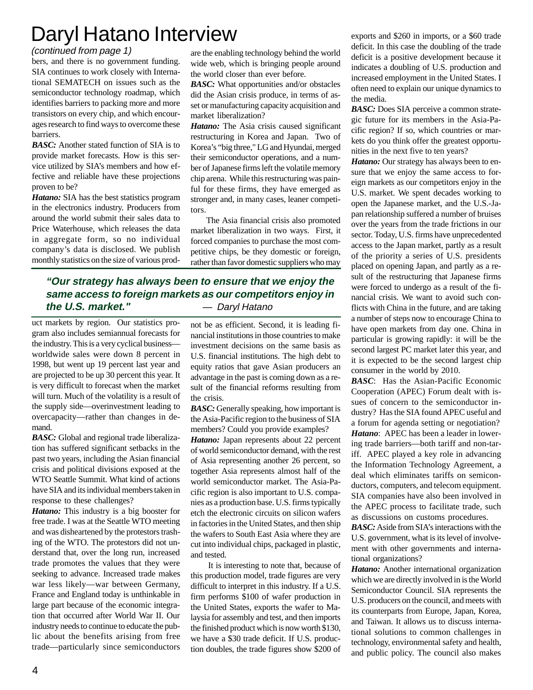# Daryl Hatano Interview

#### (continued from page 1)

bers, and there is no government funding. SIA continues to work closely with International SEMATECH on issues such as the semiconductor technology roadmap, which identifies barriers to packing more and more transistors on every chip, and which encourages research to find ways to overcome these barriers.

*BASC:* Another stated function of SIA is to provide market forecasts. How is this service utilized by SIA's members and how effective and reliable have these projections proven to be?

*Hatano:* SIA has the best statistics program in the electronics industry. Producers from around the world submit their sales data to Price Waterhouse, which releases the data in aggregate form, so no individual company's data is disclosed. We publish monthly statistics on the size of various prodare the enabling technology behind the world wide web, which is bringing people around the world closer than ever before.

*BASC:* What opportunities and/or obstacles did the Asian crisis produce, in terms of asset or manufacturing capacity acquisition and market liberalization?

*Hatano:* The Asia crisis caused significant restructuring in Korea and Japan. Two of Korea's "big three," LG and Hyundai, merged their semiconductor operations, and a number of Japanese firms left the volatile memory chip arena. While this restructuring was painful for these firms, they have emerged as stronger and, in many cases, leaner competitors.

The Asia financial crisis also promoted market liberalization in two ways. First, it forced companies to purchase the most competitive chips, be they domestic or foreign, rather than favor domestic suppliers who may

#### **"Our strategy has always been to ensure that we enjoy the same access to foreign markets as our competitors enjoy in the U.S. market."** — Daryl Hatano

uct markets by region. Our statistics program also includes semiannual forecasts for the industry. This is a very cyclical business worldwide sales were down 8 percent in 1998, but went up 19 percent last year and are projected to be up 30 percent this year. It is very difficult to forecast when the market will turn. Much of the volatility is a result of the supply side—overinvestment leading to overcapacity—rather than changes in demand.

*BASC:* Global and regional trade liberalization has suffered significant setbacks in the past two years, including the Asian financial crisis and political divisions exposed at the WTO Seattle Summit. What kind of actions have SIA and its individual members taken in response to these challenges?

*Hatano:* This industry is a big booster for free trade. I was at the Seattle WTO meeting and was disheartened by the protestors trashing of the WTO. The protestors did not understand that, over the long run, increased trade promotes the values that they were seeking to advance. Increased trade makes war less likely—war between Germany, France and England today is unthinkable in large part because of the economic integration that occurred after World War II. Our industry needs to continue to educate the public about the benefits arising from free trade—particularly since semiconductors not be as efficient. Second, it is leading financial institutions in those countries to make investment decisions on the same basis as U.S. financial institutions. The high debt to equity ratios that gave Asian producers an advantage in the past is coming down as a result of the financial reforms resulting from the crisis.

*BASC:* Generally speaking, how important is the Asia-Pacific region to the business of SIA members? Could you provide examples?

*Hatano:* Japan represents about 22 percent of world semiconductor demand, with the rest of Asia representing another 26 percent, so together Asia represents almost half of the world semiconductor market. The Asia-Pacific region is also important to U.S. companies as a production base. U.S. firms typically etch the electronic circuits on silicon wafers in factories in the United States, and then ship the wafers to South East Asia where they are cut into individual chips, packaged in plastic, and tested.

It is interesting to note that, because of this production model, trade figures are very difficult to interpret in this industry. If a U.S. firm performs \$100 of wafer production in the United States, exports the wafer to Malaysia for assembly and test, and then imports the finished product which is now worth \$130, we have a \$30 trade deficit. If U.S. production doubles, the trade figures show \$200 of

exports and \$260 in imports, or a \$60 trade deficit. In this case the doubling of the trade deficit is a positive development because it indicates a doubling of U.S. production and increased employment in the United States. I often need to explain our unique dynamics to the media.

*BASC:* Does SIA perceive a common strategic future for its members in the Asia-Pacific region? If so, which countries or markets do you think offer the greatest opportunities in the next five to ten years?

*Hatano:* Our strategy has always been to ensure that we enjoy the same access to foreign markets as our competitors enjoy in the U.S. market. We spent decades working to open the Japanese market, and the U.S.-Japan relationship suffered a number of bruises over the years from the trade frictions in our sector. Today, U.S. firms have unprecedented access to the Japan market, partly as a result of the priority a series of U.S. presidents placed on opening Japan, and partly as a result of the restructuring that Japanese firms were forced to undergo as a result of the financial crisis. We want to avoid such conflicts with China in the future, and are taking a number of steps now to encourage China to have open markets from day one. China in particular is growing rapidly: it will be the second largest PC market later this year, and it is expected to be the second largest chip consumer in the world by 2010.

*BASC*: Has the Asian-Pacific Economic Cooperation (APEC) Forum dealt with issues of concern to the semiconductor industry? Has the SIA found APEC useful and a forum for agenda setting or negotiation? *Hatano*: APEC has been a leader in lowering trade barriers—both tariff and non-tariff. APEC played a key role in advancing the Information Technology Agreement, a deal which eliminates tariffs on semiconductors, computers, and telecom equipment. SIA companies have also been involved in the APEC process to facilitate trade, such as discussions on customs procedures.

*BASC:* Aside from SIA's interactions with the U.S. government, what is its level of involvement with other governments and international organizations?

*Hatano:* Another international organization which we are directly involved in is the World Semiconductor Council. SIA represents the U.S. producers on the council, and meets with its counterparts from Europe, Japan, Korea, and Taiwan. It allows us to discuss international solutions to common challenges in technology, environmental safety and health, and public policy. The council also makes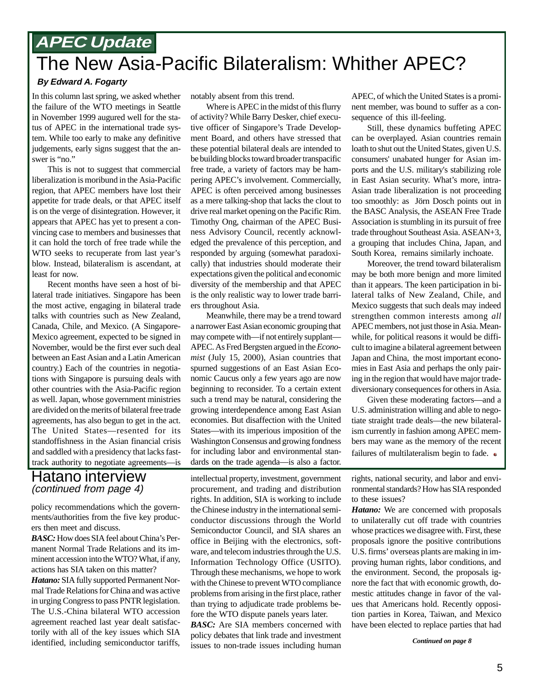## **APEC Update** The New Asia-Pacific Bilateralism: Whither APEC?

#### **By Edward A. Fogarty**

In this column last spring, we asked whether the failure of the WTO meetings in Seattle in November 1999 augured well for the status of APEC in the international trade system. While too early to make any definitive judgements, early signs suggest that the answer is "no."

This is not to suggest that commercial liberalization is moribund in the Asia-Pacific region, that APEC members have lost their appetite for trade deals, or that APEC itself is on the verge of disintegration. However, it appears that APEC has yet to present a convincing case to members and businesses that it can hold the torch of free trade while the WTO seeks to recuperate from last year's blow. Instead, bilateralism is ascendant, at least for now.

Recent months have seen a host of bilateral trade initiatives. Singapore has been the most active, engaging in bilateral trade talks with countries such as New Zealand, Canada, Chile, and Mexico. (A Singapore-Mexico agreement, expected to be signed in November, would be the first ever such deal between an East Asian and a Latin American country.) Each of the countries in negotiations with Singapore is pursuing deals with other countries with the Asia-Pacific region as well. Japan, whose government ministries are divided on the merits of bilateral free trade agreements, has also begun to get in the act. The United States—resented for its standoffishness in the Asian financial crisis and saddled with a presidency that lacks fasttrack authority to negotiate agreements—is

#### Hatano interview (continued from page 4)

policy recommendations which the governments/authorities from the five key producers then meet and discuss.

*BASC:* How does SIA feel about China's Permanent Normal Trade Relations and its imminent accession into the WTO? What, if any, actions has SIA taken on this matter?

*Hatano:* SIA fully supported Permanent Normal Trade Relations for China and was active in urging Congress to pass PNTR legislation. The U.S.-China bilateral WTO accession agreement reached last year dealt satisfactorily with all of the key issues which SIA identified, including semiconductor tariffs,

notably absent from this trend.

Where is APEC in the midst of this flurry of activity? While Barry Desker, chief executive officer of Singapore's Trade Development Board, and others have stressed that these potential bilateral deals are intended to be building blocks toward broader transpacific free trade, a variety of factors may be hampering APEC's involvement. Commercially, APEC is often perceived among businesses as a mere talking-shop that lacks the clout to drive real market opening on the Pacific Rim. Timothy Ong, chairman of the APEC Business Advisory Council, recently acknowledged the prevalence of this perception, and responded by arguing (somewhat paradoxically) that industries should moderate their expectations given the political and economic diversity of the membership and that APEC is the only realistic way to lower trade barriers throughout Asia.

Meanwhile, there may be a trend toward a narrower East Asian economic grouping that may compete with—if not entirely supplant— APEC. As Fred Bergsten argued in the *Economist* (July 15, 2000), Asian countries that spurned suggestions of an East Asian Economic Caucus only a few years ago are now beginning to reconsider. To a certain extent such a trend may be natural, considering the growing interdependence among East Asian economies. But disaffection with the United States—with its imperious imposition of the Washington Consensus and growing fondness for including labor and environmental standards on the trade agenda—is also a factor.

intellectual property, investment, government procurement, and trading and distribution rights. In addition, SIA is working to include the Chinese industry in the international semiconductor discussions through the World Semiconductor Council, and SIA shares an office in Beijing with the electronics, software, and telecom industries through the U.S. Information Technology Office (USITO). Through these mechanisms, we hope to work with the Chinese to prevent WTO compliance problems from arising in the first place, rather than trying to adjudicate trade problems before the WTO dispute panels years later.

*BASC:* Are SIA members concerned with policy debates that link trade and investment issues to non-trade issues including human APEC, of which the United States is a prominent member, was bound to suffer as a consequence of this ill-feeling.

Still, these dynamics buffeting APEC can be overplayed. Asian countries remain loath to shut out the United States, given U.S. consumers' unabated hunger for Asian imports and the U.S. military's stabilizing role in East Asian security. What's more, intra-Asian trade liberalization is not proceeding too smoothly: as Jörn Dosch points out in the BASC Analysis, the ASEAN Free Trade Association is stumbling in its pursuit of free trade throughout Southeast Asia. ASEAN+3, a grouping that includes China, Japan, and South Korea, remains similarly inchoate.

Moreover, the trend toward bilateralism may be both more benign and more limited than it appears. The keen participation in bilateral talks of New Zealand, Chile, and Mexico suggests that such deals may indeed strengthen common interests among *all* APEC members, not just those in Asia. Meanwhile, for political reasons it would be difficult to imagine a bilateral agreement between Japan and China, the most important economies in East Asia and perhaps the only pairing in the region that would have major tradediversionary consequences for others in Asia.

Given these moderating factors—and a U.S. administration willing and able to negotiate straight trade deals—the new bilateralism currently in fashion among APEC members may wane as the memory of the recent failures of multilateralism begin to fade.  $\bullet$ 

rights, national security, and labor and environmental standards? How has SIA responded to these issues?

*Hatano:* We are concerned with proposals to unilaterally cut off trade with countries whose practices we disagree with. First, these proposals ignore the positive contributions U.S. firms' overseas plants are making in improving human rights, labor conditions, and the environment. Second, the proposals ignore the fact that with economic growth, domestic attitudes change in favor of the values that Americans hold. Recently opposition parties in Korea, Taiwan, and Mexico have been elected to replace parties that had

*Continued on page 8*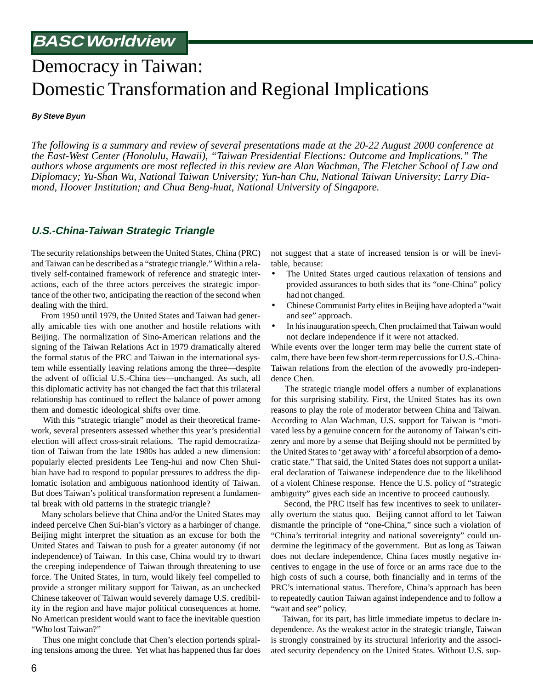## Democracy in Taiwan: Domestic Transformation and Regional Implications

**By Steve Byun**

*The following is a summary and review of several presentations made at the 20-22 August 2000 conference at the East-West Center (Honolulu, Hawaii), "Taiwan Presidential Elections: Outcome and Implications." The authors whose arguments are most reflected in this review are Alan Wachman, The Fletcher School of Law and Diplomacy; Yu-Shan Wu, National Taiwan University; Yun-han Chu, National Taiwan University; Larry Diamond, Hoover Institution; and Chua Beng-huat, National University of Singapore.*

#### **U.S.-China-Taiwan Strategic Triangle**

The security relationships between the United States, China (PRC) and Taiwan can be described as a "strategic triangle." Within a relatively self-contained framework of reference and strategic interactions, each of the three actors perceives the strategic importance of the other two, anticipating the reaction of the second when dealing with the third.

 From 1950 until 1979, the United States and Taiwan had generally amicable ties with one another and hostile relations with Beijing. The normalization of Sino-American relations and the signing of the Taiwan Relations Act in 1979 dramatically altered the formal status of the PRC and Taiwan in the international system while essentially leaving relations among the three—despite the advent of official U.S.-China ties—unchanged. As such, all this diplomatic activity has not changed the fact that this trilateral relationship has continued to reflect the balance of power among them and domestic ideological shifts over time.

 With this "strategic triangle" model as their theoretical framework, several presenters assessed whether this year's presidential election will affect cross-strait relations. The rapid democratization of Taiwan from the late 1980s has added a new dimension: popularly elected presidents Lee Teng-hui and now Chen Shuibian have had to respond to popular pressures to address the diplomatic isolation and ambiguous nationhood identity of Taiwan. But does Taiwan's political transformation represent a fundamental break with old patterns in the strategic triangle?

 Many scholars believe that China and/or the United States may indeed perceive Chen Sui-bian's victory as a harbinger of change. Beijing might interpret the situation as an excuse for both the United States and Taiwan to push for a greater autonomy (if not independence) of Taiwan. In this case, China would try to thwart the creeping independence of Taiwan through threatening to use force. The United States, in turn, would likely feel compelled to provide a stronger military support for Taiwan, as an unchecked Chinese takeover of Taiwan would severely damage U.S. credibility in the region and have major political consequences at home. No American president would want to face the inevitable question "Who lost Taiwan?"

 Thus one might conclude that Chen's election portends spiraling tensions among the three. Yet what has happened thus far does not suggest that a state of increased tension is or will be inevitable, because:

- The United States urged cautious relaxation of tensions and provided assurances to both sides that its "one-China" policy had not changed.
- Chinese Communist Party elites in Beijing have adopted a "wait and see" approach.
- In his inauguration speech, Chen proclaimed that Taiwan would not declare independence if it were not attacked.

While events over the longer term may belie the current state of calm, there have been few short-term repercussions for U.S.-China-Taiwan relations from the election of the avowedly pro-independence Chen.

 The strategic triangle model offers a number of explanations for this surprising stability. First, the United States has its own reasons to play the role of moderator between China and Taiwan. According to Alan Wachman, U.S. support for Taiwan is "motivated less by a genuine concern for the autonomy of Taiwan's citizenry and more by a sense that Beijing should not be permitted by the United States to 'get away with' a forceful absorption of a democratic state." That said, the United States does not support a unilateral declaration of Taiwanese independence due to the likelihood of a violent Chinese response. Hence the U.S. policy of "strategic ambiguity" gives each side an incentive to proceed cautiously.

 Second, the PRC itself has few incentives to seek to unilaterally overturn the status quo. Beijing cannot afford to let Taiwan dismantle the principle of "one-China," since such a violation of "China's territorial integrity and national sovereignty" could undermine the legitimacy of the government. But as long as Taiwan does not declare independence, China faces mostly negative incentives to engage in the use of force or an arms race due to the high costs of such a course, both financially and in terms of the PRC's international status. Therefore, China's approach has been to repeatedly caution Taiwan against independence and to follow a "wait and see" policy.

 Taiwan, for its part, has little immediate impetus to declare independence. As the weakest actor in the strategic triangle, Taiwan is strongly constrained by its structural inferiority and the associated security dependency on the United States. Without U.S. sup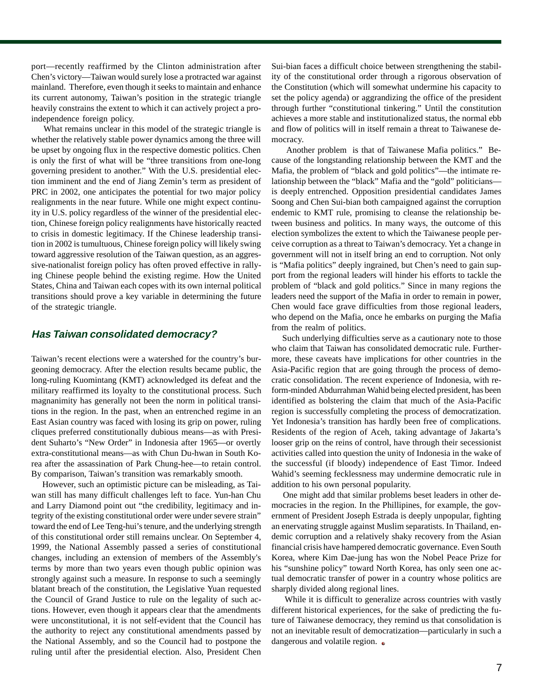port—recently reaffirmed by the Clinton administration after Chen's victory—Taiwan would surely lose a protracted war against mainland. Therefore, even though it seeks to maintain and enhance its current autonomy, Taiwan's position in the strategic triangle heavily constrains the extent to which it can actively project a proindependence foreign policy.

 What remains unclear in this model of the strategic triangle is whether the relatively stable power dynamics among the three will be upset by ongoing flux in the respective domestic politics. Chen is only the first of what will be "three transitions from one-long governing president to another." With the U.S. presidential election imminent and the end of Jiang Zemin's term as president of PRC in 2002, one anticipates the potential for two major policy realignments in the near future. While one might expect continuity in U.S. policy regardless of the winner of the presidential election, Chinese foreign policy realignments have historically reacted to crisis in domestic legitimacy. If the Chinese leadership transition in 2002 is tumultuous, Chinese foreign policy will likely swing toward aggressive resolution of the Taiwan question, as an aggressive-nationalist foreign policy has often proved effective in rallying Chinese people behind the existing regime. How the United States, China and Taiwan each copes with its own internal political transitions should prove a key variable in determining the future of the strategic triangle.

#### **Has Taiwan consolidated democracy?**

Taiwan's recent elections were a watershed for the country's burgeoning democracy. After the election results became public, the long-ruling Kuomintang (KMT) acknowledged its defeat and the military reaffirmed its loyalty to the constitutional process. Such magnanimity has generally not been the norm in political transitions in the region. In the past, when an entrenched regime in an East Asian country was faced with losing its grip on power, ruling cliques preferred constitutionally dubious means—as with President Suharto's "New Order" in Indonesia after 1965—or overtly extra-constitutional means—as with Chun Du-hwan in South Korea after the assassination of Park Chung-hee—to retain control. By comparison, Taiwan's transition was remarkably smooth.

 However, such an optimistic picture can be misleading, as Taiwan still has many difficult challenges left to face. Yun-han Chu and Larry Diamond point out "the credibility, legitimacy and integrity of the existing constitutional order were under severe strain" toward the end of Lee Teng-hui's tenure, and the underlying strength of this constitutional order still remains unclear. On September 4, 1999, the National Assembly passed a series of constitutional changes, including an extension of members of the Assembly's terms by more than two years even though public opinion was strongly against such a measure. In response to such a seemingly blatant breach of the constitution, the Legislative Yuan requested the Council of Grand Justice to rule on the legality of such actions. However, even though it appears clear that the amendments were unconstitutional, it is not self-evident that the Council has the authority to reject any constitutional amendments passed by the National Assembly, and so the Council had to postpone the ruling until after the presidential election. Also, President Chen

Sui-bian faces a difficult choice between strengthening the stability of the constitutional order through a rigorous observation of the Constitution (which will somewhat undermine his capacity to set the policy agenda) or aggrandizing the office of the president through further "constitutional tinkering." Until the constitution achieves a more stable and institutionalized status, the normal ebb and flow of politics will in itself remain a threat to Taiwanese democracy.

 Another problem is that of Taiwanese Mafia politics." Because of the longstanding relationship between the KMT and the Mafia, the problem of "black and gold politics"—the intimate relationship between the "black" Mafia and the "gold" politicians is deeply entrenched. Opposition presidential candidates James Soong and Chen Sui-bian both campaigned against the corruption endemic to KMT rule, promising to cleanse the relationship between business and politics. In many ways, the outcome of this election symbolizes the extent to which the Taiwanese people perceive corruption as a threat to Taiwan's democracy. Yet a change in government will not in itself bring an end to corruption. Not only is "Mafia politics" deeply ingrained, but Chen's need to gain support from the regional leaders will hinder his efforts to tackle the problem of "black and gold politics." Since in many regions the leaders need the support of the Mafia in order to remain in power, Chen would face grave difficulties from those regional leaders, who depend on the Mafia, once he embarks on purging the Mafia from the realm of politics.

 Such underlying difficulties serve as a cautionary note to those who claim that Taiwan has consolidated democratic rule. Furthermore, these caveats have implications for other countries in the Asia-Pacific region that are going through the process of democratic consolidation. The recent experience of Indonesia, with reform-minded Abdurrahman Wahid being elected president, has been identified as bolstering the claim that much of the Asia-Pacific region is successfully completing the process of democratization. Yet Indonesia's transition has hardly been free of complications. Residents of the region of Aceh, taking advantage of Jakarta's looser grip on the reins of control, have through their secessionist activities called into question the unity of Indonesia in the wake of the successful (if bloody) independence of East Timor. Indeed Wahid's seeming fecklessness may undermine democratic rule in addition to his own personal popularity.

 One might add that similar problems beset leaders in other democracies in the region. In the Phillipines, for example, the government of President Joseph Estrada is deeply unpopular, fighting an enervating struggle against Muslim separatists. In Thailand, endemic corruption and a relatively shaky recovery from the Asian financial crisis have hampered democratic governance. Even South Korea, where Kim Dae-jung has won the Nobel Peace Prize for his "sunshine policy" toward North Korea, has only seen one actual democratic transfer of power in a country whose politics are sharply divided along regional lines.

 While it is difficult to generalize across countries with vastly different historical experiences, for the sake of predicting the future of Taiwanese democracy, they remind us that consolidation is not an inevitable result of democratization—particularly in such a dangerous and volatile region.  $\bullet$